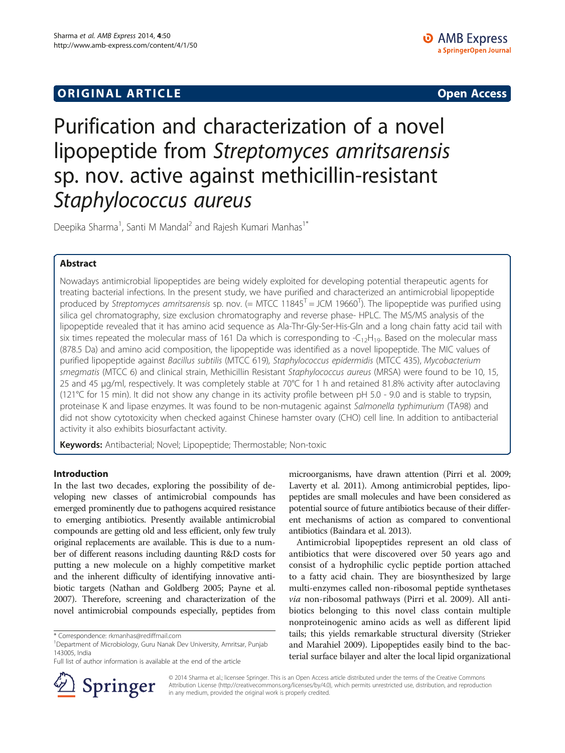# **ORIGINAL ARTICLE CONSUMING A LIGACION** CONSUMING A LIGACION CONSUMING A LIGACION CONSUMING A LIGACION CONSUMING A LIGACION CONSUMING A LIGACION CONSUMING A LIGACION CONSUMING A LIGACION CONSUMING A LIGACION CONSUMING A

# Purification and characterization of a novel lipopeptide from Streptomyces amritsarensis sp. nov. active against methicillin-resistant Staphylococcus aureus

Deepika Sharma<sup>1</sup>, Santi M Mandal<sup>2</sup> and Rajesh Kumari Manhas<sup>1\*</sup>

# Abstract

Nowadays antimicrobial lipopeptides are being widely exploited for developing potential therapeutic agents for treating bacterial infections. In the present study, we have purified and characterized an antimicrobial lipopeptide produced by Streptomyces amritsarensis sp. nov. (= MTCC 11845<sup>T</sup> = JCM 19660<sup>T</sup>). The lipopeptide was purified using silica gel chromatography, size exclusion chromatography and reverse phase- HPLC. The MS/MS analysis of the lipopeptide revealed that it has amino acid sequence as Ala-Thr-Gly-Ser-His-Gln and a long chain fatty acid tail with six times repeated the molecular mass of 161 Da which is corresponding to  $-C_{12}H_{19}$ . Based on the molecular mass (878.5 Da) and amino acid composition, the lipopeptide was identified as a novel lipopeptide. The MIC values of purified lipopeptide against Bacillus subtilis (MTCC 619), Staphylococcus epidermidis (MTCC 435), Mycobacterium smegmatis (MTCC 6) and clinical strain, Methicillin Resistant Staphylococcus aureus (MRSA) were found to be 10, 15, 25 and 45 μg/ml, respectively. It was completely stable at 70°C for 1 h and retained 81.8% activity after autoclaving (121°C for 15 min). It did not show any change in its activity profile between pH 5.0 - 9.0 and is stable to trypsin, proteinase K and lipase enzymes. It was found to be non-mutagenic against Salmonella typhimurium (TA98) and did not show cytotoxicity when checked against Chinese hamster ovary (CHO) cell line. In addition to antibacterial activity it also exhibits biosurfactant activity.

Keywords: Antibacterial; Novel; Lipopeptide; Thermostable; Non-toxic

# Introduction

In the last two decades, exploring the possibility of developing new classes of antimicrobial compounds has emerged prominently due to pathogens acquired resistance to emerging antibiotics. Presently available antimicrobial compounds are getting old and less efficient, only few truly original replacements are available. This is due to a number of different reasons including daunting R&D costs for putting a new molecule on a highly competitive market and the inherent difficulty of identifying innovative antibiotic targets (Nathan and Goldberg [2005;](#page-8-0) Payne et al. [2007\)](#page-8-0). Therefore, screening and characterization of the novel antimicrobial compounds especially, peptides from



Antimicrobial lipopeptides represent an old class of antibiotics that were discovered over 50 years ago and consist of a hydrophilic cyclic peptide portion attached to a fatty acid chain. They are biosynthesized by large multi-enzymes called non-ribosomal peptide synthetases via non-ribosomal pathways (Pirri et al. [2009\)](#page-8-0). All antibiotics belonging to this novel class contain multiple nonproteinogenic amino acids as well as different lipid tails; this yields remarkable structural diversity (Strieker and Marahiel [2009\)](#page-8-0). Lipopeptides easily bind to the bacterial surface bilayer and alter the local lipid organizational



© 2014 Sharma et al.; licensee Springer. This is an Open Access article distributed under the terms of the Creative Commons Attribution License [\(http://creativecommons.org/licenses/by/4.0\)](http://creativecommons.org/licenses/by/4.0), which permits unrestricted use, distribution, and reproduction in any medium, provided the original work is properly credited.

<sup>\*</sup> Correspondence: [rkmanhas@rediffmail.com](mailto:rkmanhas@rediffmail.com) <sup>1</sup>

<sup>&</sup>lt;sup>1</sup>Department of Microbiology, Guru Nanak Dev University, Amritsar, Punjab 143005, India

Full list of author information is available at the end of the article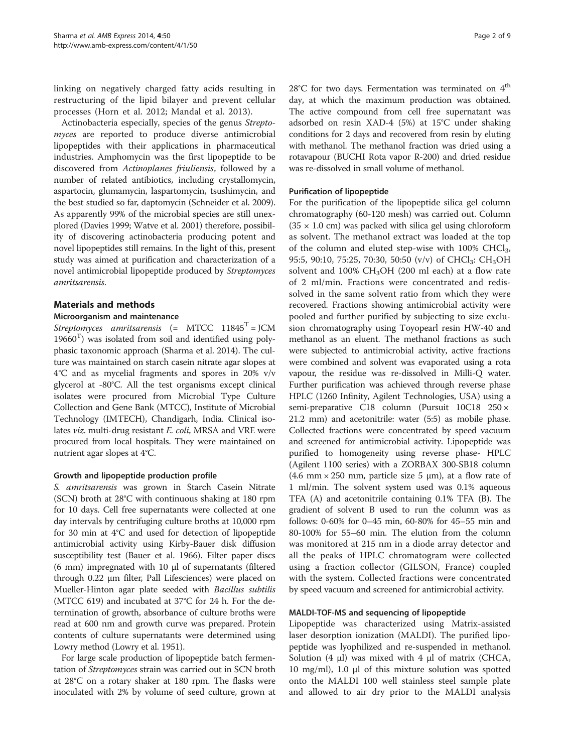linking on negatively charged fatty acids resulting in restructuring of the lipid bilayer and prevent cellular processes (Horn et al. [2012](#page-8-0); Mandal et al. [2013\)](#page-8-0).

Actinobacteria especially, species of the genus Streptomyces are reported to produce diverse antimicrobial lipopeptides with their applications in pharmaceutical industries. Amphomycin was the first lipopeptide to be discovered from Actinoplanes friuliensis, followed by a number of related antibiotics, including crystallomycin, aspartocin, glumamycin, laspartomycin, tsushimycin, and the best studied so far, daptomycin (Schneider et al. [2009](#page-8-0)). As apparently 99% of the microbial species are still unexplored (Davies [1999](#page-8-0); Watve et al. [2001](#page-8-0)) therefore, possibility of discovering actinobacteria producing potent and novel lipopeptides still remains. In the light of this, present study was aimed at purification and characterization of a novel antimicrobial lipopeptide produced by Streptomyces amritsarensis.

# Materials and methods

# Microorganism and maintenance

Streptomyces amritsarensis  $(= MTCC 11845<sup>T</sup> = JCM$  $19660<sup>T</sup>$ ) was isolated from soil and identified using polyphasic taxonomic approach (Sharma et al. [2014\)](#page-8-0). The culture was maintained on starch casein nitrate agar slopes at 4°C and as mycelial fragments and spores in 20% v/v glycerol at -80°C. All the test organisms except clinical isolates were procured from Microbial Type Culture Collection and Gene Bank (MTCC), Institute of Microbial Technology (IMTECH), Chandigarh, India. Clinical isolates viz. multi-drug resistant E. coli, MRSA and VRE were procured from local hospitals. They were maintained on nutrient agar slopes at 4°C.

# Growth and lipopeptide production profile

S. amritsarensis was grown in Starch Casein Nitrate (SCN) broth at 28°C with continuous shaking at 180 rpm for 10 days. Cell free supernatants were collected at one day intervals by centrifuging culture broths at 10,000 rpm for 30 min at 4°C and used for detection of lipopeptide antimicrobial activity using Kirby-Bauer disk diffusion susceptibility test (Bauer et al. [1966](#page-8-0)). Filter paper discs (6 mm) impregnated with 10 μl of supernatants (filtered through 0.22 μm filter, Pall Lifesciences) were placed on Mueller-Hinton agar plate seeded with *Bacillus subtilis* (MTCC 619) and incubated at 37°C for 24 h. For the determination of growth, absorbance of culture broths were read at 600 nm and growth curve was prepared. Protein contents of culture supernatants were determined using Lowry method (Lowry et al. [1951\)](#page-8-0).

For large scale production of lipopeptide batch fermentation of Streptomyces strain was carried out in SCN broth at 28°C on a rotary shaker at 180 rpm. The flasks were inoculated with 2% by volume of seed culture, grown at  $28^{\circ}$ C for two days. Fermentation was terminated on  $4^{\text{th}}$ day, at which the maximum production was obtained. The active compound from cell free supernatant was adsorbed on resin XAD-4 (5%) at 15°C under shaking conditions for 2 days and recovered from resin by eluting with methanol. The methanol fraction was dried using a rotavapour (BUCHI Rota vapor R-200) and dried residue was re-dissolved in small volume of methanol.

# Purification of lipopeptide

For the purification of the lipopeptide silica gel column chromatography (60-120 mesh) was carried out. Column  $(35 \times 1.0 \text{ cm})$  was packed with silica gel using chloroform as solvent. The methanol extract was loaded at the top of the column and eluted step-wise with  $100\%$  CHCl<sub>3</sub>, 95:5, 90:10, 75:25, 70:30, 50:50 (v/v) of CHCl<sub>3</sub>: CH<sub>3</sub>OH solvent and 100% CH<sub>3</sub>OH (200 ml each) at a flow rate of 2 ml/min. Fractions were concentrated and redissolved in the same solvent ratio from which they were recovered. Fractions showing antimicrobial activity were pooled and further purified by subjecting to size exclusion chromatography using Toyopearl resin HW-40 and methanol as an eluent. The methanol fractions as such were subjected to antimicrobial activity, active fractions were combined and solvent was evaporated using a rota vapour, the residue was re-dissolved in Milli-Q water. Further purification was achieved through reverse phase HPLC (1260 Infinity, Agilent Technologies, USA) using a semi-preparative C18 column (Pursuit 10C18 250 × 21.2 mm) and acetonitrile: water (5:5) as mobile phase. Collected fractions were concentrated by speed vacuum and screened for antimicrobial activity. Lipopeptide was purified to homogeneity using reverse phase- HPLC (Agilent 1100 series) with a ZORBAX 300-SB18 column (4.6 mm  $\times$  250 mm, particle size 5 µm), at a flow rate of 1 ml/min. The solvent system used was 0.1% aqueous TFA (A) and acetonitrile containing 0.1% TFA (B). The gradient of solvent B used to run the column was as follows: 0-60% for 0–45 min, 60-80% for 45–55 min and 80-100% for 55–60 min. The elution from the column was monitored at 215 nm in a diode array detector and all the peaks of HPLC chromatogram were collected using a fraction collector (GILSON, France) coupled with the system. Collected fractions were concentrated by speed vacuum and screened for antimicrobial activity.

# MALDI-TOF-MS and sequencing of lipopeptide

Lipopeptide was characterized using Matrix-assisted laser desorption ionization (MALDI). The purified lipopeptide was lyophilized and re-suspended in methanol. Solution  $(4 \mu l)$  was mixed with  $4 \mu l$  of matrix (CHCA, 10 mg/ml), 1.0 μl of this mixture solution was spotted onto the MALDI 100 well stainless steel sample plate and allowed to air dry prior to the MALDI analysis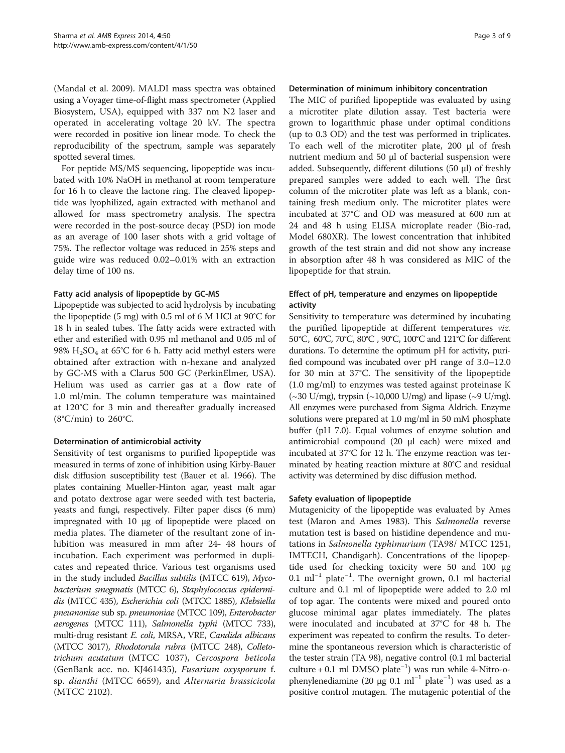(Mandal et al. [2009\)](#page-8-0). MALDI mass spectra was obtained using a Voyager time-of-flight mass spectrometer (Applied Biosystem, USA), equipped with 337 nm N2 laser and operated in accelerating voltage 20 kV. The spectra were recorded in positive ion linear mode. To check the reproducibility of the spectrum, sample was separately spotted several times.

For peptide MS/MS sequencing, lipopeptide was incubated with 10% NaOH in methanol at room temperature for 16 h to cleave the lactone ring. The cleaved lipopeptide was lyophilized, again extracted with methanol and allowed for mass spectrometry analysis. The spectra were recorded in the post-source decay (PSD) ion mode as an average of 100 laser shots with a grid voltage of 75%. The reflector voltage was reduced in 25% steps and guide wire was reduced 0.02–0.01% with an extraction delay time of 100 ns.

# Fatty acid analysis of lipopeptide by GC-MS

Lipopeptide was subjected to acid hydrolysis by incubating the lipopeptide (5 mg) with 0.5 ml of 6 M HCl at 90°C for 18 h in sealed tubes. The fatty acids were extracted with ether and esterified with 0.95 ml methanol and 0.05 ml of 98%  $H_2SO_4$  at 65°C for 6 h. Fatty acid methyl esters were obtained after extraction with n-hexane and analyzed by GC-MS with a Clarus 500 GC (PerkinElmer, USA). Helium was used as carrier gas at a flow rate of 1.0 ml/min. The column temperature was maintained at 120°C for 3 min and thereafter gradually increased  $(8^{\circ}C/\text{min})$  to 260 $^{\circ}C$ .

# Determination of antimicrobial activity

Sensitivity of test organisms to purified lipopeptide was measured in terms of zone of inhibition using Kirby-Bauer disk diffusion susceptibility test (Bauer et al. [1966](#page-8-0)). The plates containing Mueller-Hinton agar, yeast malt agar and potato dextrose agar were seeded with test bacteria, yeasts and fungi, respectively. Filter paper discs (6 mm) impregnated with 10 μg of lipopeptide were placed on media plates. The diameter of the resultant zone of inhibition was measured in mm after 24- 48 hours of incubation. Each experiment was performed in duplicates and repeated thrice. Various test organisms used in the study included Bacillus subtilis (MTCC 619), Mycobacterium smegmatis (MTCC 6), Staphylococcus epidermidis (MTCC 435), Escherichia coli (MTCC 1885), Klebsiella pneumoniae sub sp. pneumoniae (MTCC 109), Enterobacter aerogenes (MTCC 111), Salmonella typhi (MTCC 733), multi-drug resistant E. coli, MRSA, VRE, Candida albicans (MTCC 3017), Rhodotorula rubra (MTCC 248), Colletotrichum acutatum (MTCC 1037), Cercospora beticola (GenBank acc. no. KJ461435), Fusarium oxysporum f. sp. dianthi (MTCC 6659), and Alternaria brassicicola (MTCC 2102).

# Determination of minimum inhibitory concentration

The MIC of purified lipopeptide was evaluated by using a microtiter plate dilution assay. Test bacteria were grown to logarithmic phase under optimal conditions (up to 0.3 OD) and the test was performed in triplicates. To each well of the microtiter plate, 200 μl of fresh nutrient medium and 50 μl of bacterial suspension were added. Subsequently, different dilutions (50 μl) of freshly prepared samples were added to each well. The first column of the microtiter plate was left as a blank, containing fresh medium only. The microtiter plates were incubated at 37°C and OD was measured at 600 nm at 24 and 48 h using ELISA microplate reader (Bio-rad, Model 680XR). The lowest concentration that inhibited growth of the test strain and did not show any increase in absorption after 48 h was considered as MIC of the lipopeptide for that strain.

# Effect of pH, temperature and enzymes on lipopeptide activity

Sensitivity to temperature was determined by incubating the purified lipopeptide at different temperatures viz. 50°C, 60°C, 70°C, 80°C , 90°C, 100°C and 121°C for different durations. To determine the optimum pH for activity, purified compound was incubated over pH range of 3.0–12.0 for 30 min at 37°C. The sensitivity of the lipopeptide (1.0 mg/ml) to enzymes was tested against proteinase K  $(\sim 30 \text{ U/mg})$ , trypsin  $(\sim 10,000 \text{ U/mg})$  and lipase  $(\sim 9 \text{ U/mg})$ . All enzymes were purchased from Sigma Aldrich. Enzyme solutions were prepared at 1.0 mg/ml in 50 mM phosphate buffer (pH 7.0). Equal volumes of enzyme solution and antimicrobial compound (20 μl each) were mixed and incubated at 37°C for 12 h. The enzyme reaction was terminated by heating reaction mixture at 80°C and residual activity was determined by disc diffusion method.

# Safety evaluation of lipopeptide

Mutagenicity of the lipopeptide was evaluated by Ames test (Maron and Ames [1983\)](#page-8-0). This Salmonella reverse mutation test is based on histidine dependence and mutations in Salmonella typhimurium (TA98/ MTCC 1251, IMTECH, Chandigarh). Concentrations of the lipopeptide used for checking toxicity were 50 and 100 μg 0.1 ml−<sup>1</sup> plate−<sup>1</sup> . The overnight grown, 0.1 ml bacterial culture and 0.1 ml of lipopeptide were added to 2.0 ml of top agar. The contents were mixed and poured onto glucose minimal agar plates immediately. The plates were inoculated and incubated at 37°C for 48 h. The experiment was repeated to confirm the results. To determine the spontaneous reversion which is characteristic of the tester strain (TA 98), negative control (0.1 ml bacterial culture + 0.1 ml DMSO plate−<sup>1</sup> ) was run while 4-Nitro-ophenylenediamine (20 μg 0.1 ml<sup>-1</sup> plate<sup>-1</sup>) was used as a positive control mutagen. The mutagenic potential of the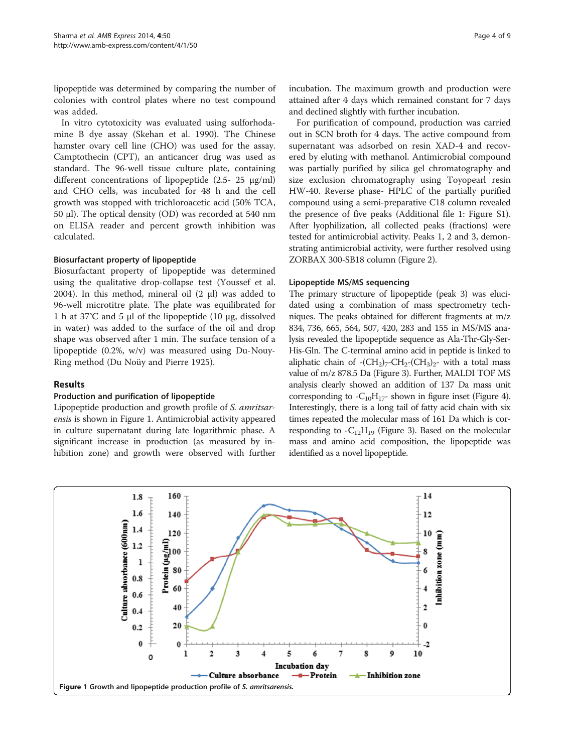lipopeptide was determined by comparing the number of colonies with control plates where no test compound was added.

In vitro cytotoxicity was evaluated using sulforhodamine B dye assay (Skehan et al. [1990\)](#page-8-0). The Chinese hamster ovary cell line (CHO) was used for the assay. Camptothecin (CPT), an anticancer drug was used as standard. The 96-well tissue culture plate, containing different concentrations of lipopeptide (2.5- 25 μg/ml) and CHO cells, was incubated for 48 h and the cell growth was stopped with trichloroacetic acid (50% TCA, 50 μl). The optical density (OD) was recorded at 540 nm on ELISA reader and percent growth inhibition was calculated.

# Biosurfactant property of lipopeptide

Biosurfactant property of lipopeptide was determined using the qualitative drop-collapse test (Youssef et al. [2004](#page-8-0)). In this method, mineral oil  $(2 \mu l)$  was added to 96-well microtitre plate. The plate was equilibrated for 1 h at 37°C and 5 μl of the lipopeptide (10 μg, dissolved in water) was added to the surface of the oil and drop shape was observed after 1 min. The surface tension of a lipopeptide (0.2%, w/v) was measured using Du-Nouy-Ring method (Du Noüy and Pierre [1925](#page-8-0)).

# Results

# Production and purification of lipopeptide

Lipopeptide production and growth profile of S. amritsarensis is shown in Figure 1. Antimicrobial activity appeared in culture supernatant during late logarithmic phase. A significant increase in production (as measured by inhibition zone) and growth were observed with further

incubation. The maximum growth and production were attained after 4 days which remained constant for 7 days and declined slightly with further incubation.

For purification of compound, production was carried out in SCN broth for 4 days. The active compound from supernatant was adsorbed on resin XAD-4 and recovered by eluting with methanol. Antimicrobial compound was partially purified by silica gel chromatography and size exclusion chromatography using Toyopearl resin HW-40. Reverse phase- HPLC of the partially purified compound using a semi-preparative C18 column revealed the presence of five peaks (Additional file [1](#page-8-0): Figure S1). After lyophilization, all collected peaks (fractions) were tested for antimicrobial activity. Peaks 1, 2 and 3, demonstrating antimicrobial activity, were further resolved using ZORBAX 300-SB18 column (Figure [2\)](#page-4-0).

# Lipopeptide MS/MS sequencing

The primary structure of lipopeptide (peak 3) was elucidated using a combination of mass spectrometry techniques. The peaks obtained for different fragments at m/z 834, 736, 665, 564, 507, 420, 283 and 155 in MS/MS analysis revealed the lipopeptide sequence as Ala-Thr-Gly-Ser-His-Gln. The C-terminal amino acid in peptide is linked to aliphatic chain of  $-(CH_2)_7-CH_2-(CH_3)_2$ - with a total mass value of m/z 878.5 Da (Figure [3](#page-4-0)). Further, MALDI TOF MS analysis clearly showed an addition of 137 Da mass unit corresponding to  $-C_{10}H_{17}$ - shown in figure inset (Figure [4](#page-5-0)). Interestingly, there is a long tail of fatty acid chain with six times repeated the molecular mass of 161 Da which is corresponding to  $-C_{12}H_{19}$  (Figure [3](#page-4-0)). Based on the molecular mass and amino acid composition, the lipopeptide was identified as a novel lipopeptide.

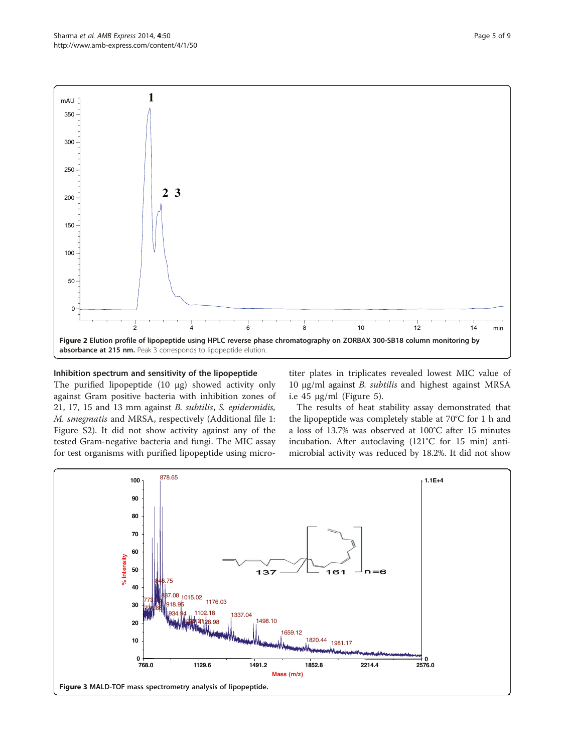<span id="page-4-0"></span>

# Inhibition spectrum and sensitivity of the lipopeptide

The purified lipopeptide (10 μg) showed activity only against Gram positive bacteria with inhibition zones of 21, 17, 15 and 13 mm against B. subtilis, S. epidermidis, M. smegmatis and MRSA, respectively (Additional file [1](#page-8-0): Figure S2). It did not show activity against any of the tested Gram-negative bacteria and fungi. The MIC assay for test organisms with purified lipopeptide using micro-

titer plates in triplicates revealed lowest MIC value of 10 μg/ml against B. subtilis and highest against MRSA i.e  $45 \mu g/ml$  (Figure [5](#page-5-0)).

The results of heat stability assay demonstrated that the lipopeptide was completely stable at 70°C for 1 h and a loss of 13.7% was observed at 100°C after 15 minutes incubation. After autoclaving (121°C for 15 min) antimicrobial activity was reduced by 18.2%. It did not show

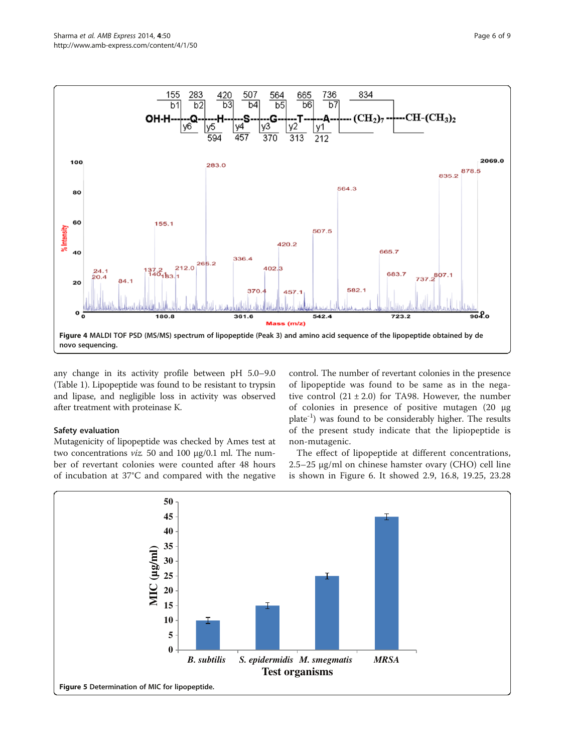<span id="page-5-0"></span>

any change in its activity profile between pH 5.0–9.0 (Table [1](#page-6-0)). Lipopeptide was found to be resistant to trypsin and lipase, and negligible loss in activity was observed after treatment with proteinase K.

# Safety evaluation

Mutagenicity of lipopeptide was checked by Ames test at two concentrations viz. 50 and 100 μg/0.1 ml. The number of revertant colonies were counted after 48 hours of incubation at 37°C and compared with the negative control. The number of revertant colonies in the presence of lipopeptide was found to be same as in the negative control  $(21 \pm 2.0)$  for TA98. However, the number of colonies in presence of positive mutagen (20 μg  $plate^{-1}$ ) was found to be considerably higher. The results of the present study indicate that the lipiopeptide is non-mutagenic.

The effect of lipopeptide at different concentrations, 2.5–25 μg/ml on chinese hamster ovary (CHO) cell line is shown in Figure [6.](#page-6-0) It showed 2.9, 16.8, 19.25, 23.28

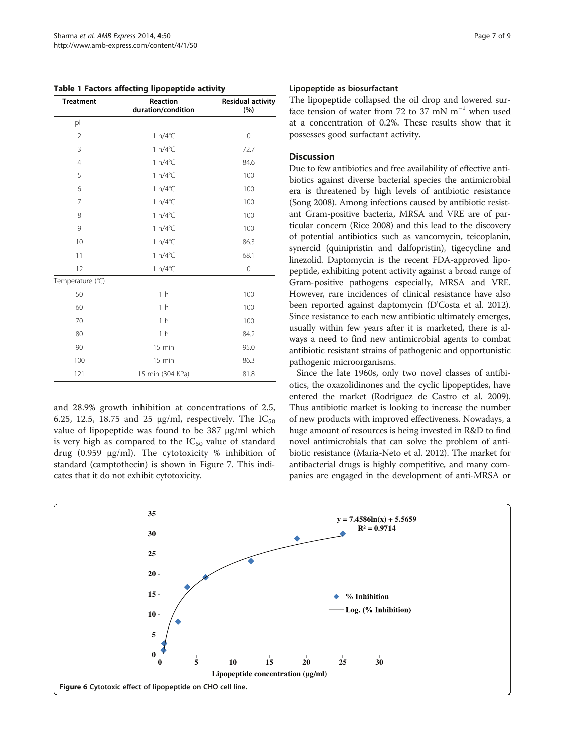<span id="page-6-0"></span>Table 1 Factors affecting lipopeptide activity

| <b>Treatment</b> | Reaction<br>duration/condition | <b>Residual activity</b><br>(%) |
|------------------|--------------------------------|---------------------------------|
| pH               |                                |                                 |
| $\overline{2}$   | $1 h/4$ °C                     | 0                               |
| 3                | $1 h/4$ °C                     | 72.7                            |
| $\overline{4}$   | 1 h/4°C                        | 84.6                            |
| 5                | $1 h/4$ °C                     | 100                             |
| 6                | 1 h/4°C                        | 100                             |
| 7                | 1 h/4°C                        | 100                             |
| 8                | $1 h/4$ °C                     | 100                             |
| 9                | 1 h/4°C                        | 100                             |
| 10               | $1 h/4$ °C                     | 86.3                            |
| 11               | $1 h/4$ °C                     | 68.1                            |
| 12               | 1 h/4°C                        | $\mathbf 0$                     |
| Temperature (°C) |                                |                                 |
| 50               | 1 <sub>h</sub>                 | 100                             |
| 60               | 1 <sub>h</sub>                 | 100                             |
| 70               | 1 <sub>h</sub>                 | 100                             |
| 80               | 1 <sub>h</sub>                 | 84.2                            |
| 90               | 15 min                         | 95.0                            |
| 100              | $15$ min                       | 86.3                            |
| 121              | 15 min (304 KPa)               | 81.8                            |

and 28.9% growth inhibition at concentrations of 2.5, 6.25, 12.5, 18.75 and 25  $\mu$ g/ml, respectively. The IC<sub>50</sub> value of lipopeptide was found to be 387 μg/ml which is very high as compared to the  $IC_{50}$  value of standard drug (0.959 μg/ml). The cytotoxicity % inhibition of standard (camptothecin) is shown in Figure [7](#page-7-0). This indicates that it do not exhibit cytotoxicity.

#### Lipopeptide as biosurfactant

The lipopeptide collapsed the oil drop and lowered surface tension of water from 72 to 37 mN  $m^{-1}$  when used at a concentration of 0.2%. These results show that it possesses good surfactant activity.

# **Discussion**

Due to few antibiotics and free availability of effective antibiotics against diverse bacterial species the antimicrobial era is threatened by high levels of antibiotic resistance (Song [2008\)](#page-8-0). Among infections caused by antibiotic resistant Gram-positive bacteria, MRSA and VRE are of particular concern (Rice [2008\)](#page-8-0) and this lead to the discovery of potential antibiotics such as vancomycin, teicoplanin, synercid (quinipristin and dalfopristin), tigecycline and linezolid. Daptomycin is the recent FDA-approved lipopeptide, exhibiting potent activity against a broad range of Gram-positive pathogens especially, MRSA and VRE. However, rare incidences of clinical resistance have also been reported against daptomycin (D'Costa et al. [2012](#page-8-0)). Since resistance to each new antibiotic ultimately emerges, usually within few years after it is marketed, there is always a need to find new antimicrobial agents to combat antibiotic resistant strains of pathogenic and opportunistic pathogenic microorganisms.

Since the late 1960s, only two novel classes of antibiotics, the oxazolidinones and the cyclic lipopeptides, have entered the market (Rodriguez de Castro et al. [2009](#page-8-0)). Thus antibiotic market is looking to increase the number of new products with improved effectiveness. Nowadays, a huge amount of resources is being invested in R&D to find novel antimicrobials that can solve the problem of antibiotic resistance (Maria-Neto et al. [2012](#page-8-0)). The market for antibacterial drugs is highly competitive, and many companies are engaged in the development of anti-MRSA or

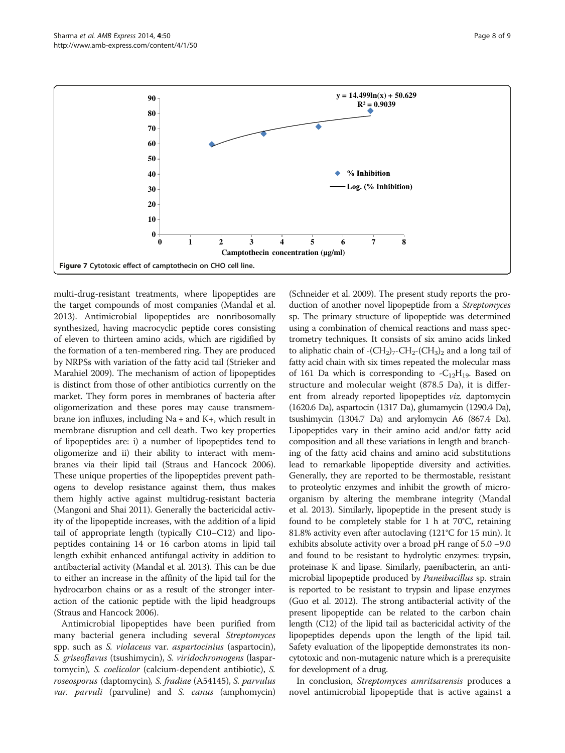multi-drug-resistant treatments, where lipopeptides are the target compounds of most companies (Mandal et al. [2013\)](#page-8-0). Antimicrobial lipopeptides are nonribosomally synthesized, having macrocyclic peptide cores consisting of eleven to thirteen amino acids, which are rigidified by the formation of a ten-membered ring. They are produced by NRPSs with variation of the fatty acid tail (Strieker and Marahiel [2009](#page-8-0)). The mechanism of action of lipopeptides is distinct from those of other antibiotics currently on the market. They form pores in membranes of bacteria after oligomerization and these pores may cause transmembrane ion influxes, including Na + and K+, which result in membrane disruption and cell death. Two key properties of lipopeptides are: i) a number of lipopeptides tend to oligomerize and ii) their ability to interact with membranes via their lipid tail (Straus and Hancock [2006](#page-8-0)). These unique properties of the lipopeptides prevent pathogens to develop resistance against them, thus makes them highly active against multidrug-resistant bacteria (Mangoni and Shai [2011](#page-8-0)). Generally the bactericidal activity of the lipopeptide increases, with the addition of a lipid tail of appropriate length (typically C10–C12) and lipopeptides containing 14 or 16 carbon atoms in lipid tail length exhibit enhanced antifungal activity in addition to antibacterial activity (Mandal et al. [2013\)](#page-8-0). This can be due to either an increase in the affinity of the lipid tail for the hydrocarbon chains or as a result of the stronger interaction of the cationic peptide with the lipid headgroups (Straus and Hancock [2006](#page-8-0)).

Antimicrobial lipopeptides have been purified from many bacterial genera including several Streptomyces spp. such as S. violaceus var. aspartocinius (aspartocin), S. griseoflavus (tsushimycin), S. viridochromogens (laspartomycin), S. coelicolor (calcium-dependent antibiotic), S. roseosporus (daptomycin), S. fradiae (A54145), S. parvulus var. parvuli (parvuline) and S. canus (amphomycin)

(Schneider et al. [2009](#page-8-0)). The present study reports the production of another novel lipopeptide from a Streptomyces sp. The primary structure of lipopeptide was determined using a combination of chemical reactions and mass spectrometry techniques. It consists of six amino acids linked to aliphatic chain of  $-(CH_2)_7-CH_2-(CH_3)_2$  and a long tail of fatty acid chain with six times repeated the molecular mass of 161 Da which is corresponding to  $-C_{12}H_{19}$ . Based on structure and molecular weight (878.5 Da), it is different from already reported lipopeptides viz. daptomycin (1620.6 Da), aspartocin (1317 Da), glumamycin (1290.4 Da), tsushimycin (1304.7 Da) and arylomycin A6 (867.4 Da). Lipopeptides vary in their amino acid and/or fatty acid composition and all these variations in length and branching of the fatty acid chains and amino acid substitutions lead to remarkable lipopeptide diversity and activities. Generally, they are reported to be thermostable, resistant to proteolytic enzymes and inhibit the growth of microorganism by altering the membrane integrity (Mandal et al. [2013\)](#page-8-0). Similarly, lipopeptide in the present study is found to be completely stable for 1 h at 70°C, retaining 81.8% activity even after autoclaving (121°C for 15 min). It exhibits absolute activity over a broad pH range of 5.0 –9.0 and found to be resistant to hydrolytic enzymes: trypsin, proteinase K and lipase. Similarly, paenibacterin, an antimicrobial lipopeptide produced by *Paneibacillus* sp. strain is reported to be resistant to trypsin and lipase enzymes (Guo et al. [2012](#page-8-0)). The strong antibacterial activity of the present lipopeptide can be related to the carbon chain length (C12) of the lipid tail as bactericidal activity of the lipopeptides depends upon the length of the lipid tail. Safety evaluation of the lipopeptide demonstrates its noncytotoxic and non-mutagenic nature which is a prerequisite for development of a drug.

In conclusion, Streptomyces amritsarensis produces a novel antimicrobial lipopeptide that is active against a

<span id="page-7-0"></span>